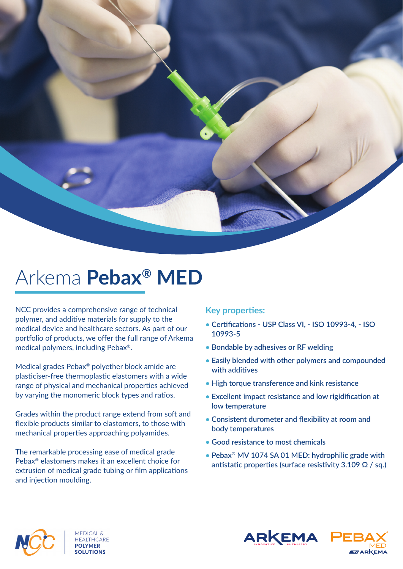

## Arkema **Pebax® MED**

NCC provides a comprehensive range of technical polymer, and additive materials for supply to the medical device and healthcare sectors. As part of our portfolio of products, we offer the full range of Arkema medical polymers, including Pebax®.

Medical grades Pebax® polyether block amide are plasticiser-free thermoplastic elastomers with a wide range of physical and mechanical properties achieved by varying the monomeric block types and ratios.

Grades within the product range extend from soft and flexible products similar to elastomers, to those with mechanical properties approaching polyamides.

The remarkable processing ease of medical grade Pebax® elastomers makes it an excellent choice for extrusion of medical grade tubing or film applications and injection moulding.

## **Key properties:**

- Certifications USP Class VI, ISO 10993-4, ISO **10993-5**
- **• Bondable by adhesives or RF welding**
- **• Easily blended with other polymers and compounded with additi ves**
- **• High torque transference and kink resistance**
- Excellent impact resistance and low rigidification at **low temperature**
- Consistent durometer and flexibility at room and **body temperatures**
- **• Good resistance to most chemicals**
- **• Pebax® MV 1074 SA 01 MED: hydrophilic grade with**  antistatic properties (surface resistivity 3.109 Ω / sq.)